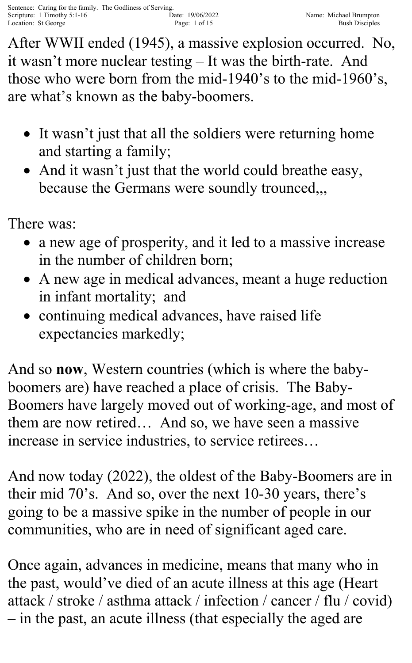After WWII ended (1945), a massive explosion occurred. No, it wasn't more nuclear testing – It was the birth-rate. And those who were born from the mid-1940's to the mid-1960's, are what's known as the baby-boomers.

- It wasn't just that all the soldiers were returning home and starting a family;
- And it wasn't just that the world could breathe easy, because the Germans were soundly trounced,,,

There was:

- a new age of prosperity, and it led to a massive increase in the number of children born;
- A new age in medical advances, meant a huge reduction in infant mortality; and
- continuing medical advances, have raised life expectancies markedly;

And so **now**, Western countries (which is where the babyboomers are) have reached a place of crisis. The Baby-Boomers have largely moved out of working-age, and most of them are now retired… And so, we have seen a massive increase in service industries, to service retirees…

And now today (2022), the oldest of the Baby-Boomers are in their mid 70's. And so, over the next 10-30 years, there's going to be a massive spike in the number of people in our communities, who are in need of significant aged care.

Once again, advances in medicine, means that many who in the past, would've died of an acute illness at this age (Heart attack / stroke / asthma attack / infection / cancer / flu / covid) – in the past, an acute illness (that especially the aged are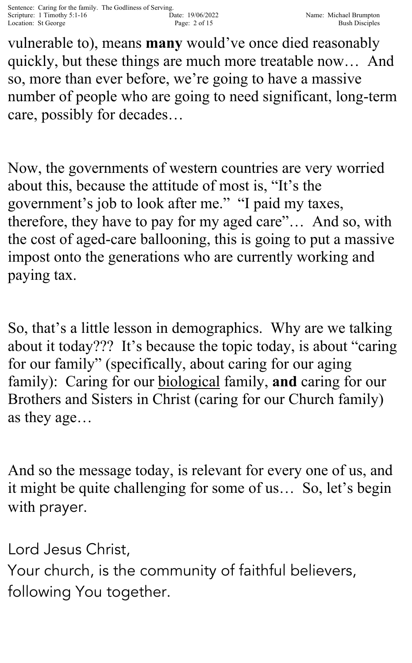vulnerable to), means **many** would've once died reasonably quickly, but these things are much more treatable now… And so, more than ever before, we're going to have a massive number of people who are going to need significant, long-term care, possibly for decades…

Now, the governments of western countries are very worried about this, because the attitude of most is, "It's the government's job to look after me." "I paid my taxes, therefore, they have to pay for my aged care"… And so, with the cost of aged-care ballooning, this is going to put a massive impost onto the generations who are currently working and paying tax.

So, that's a little lesson in demographics. Why are we talking about it today??? It's because the topic today, is about "caring for our family" (specifically, about caring for our aging family): Caring for our biological family, **and** caring for our Brothers and Sisters in Christ (caring for our Church family) as they age…

And so the message today, is relevant for every one of us, and it might be quite challenging for some of us… So, let's begin with prayer.

Lord Jesus Christ,

Your church, is the community of faithful believers, following You together.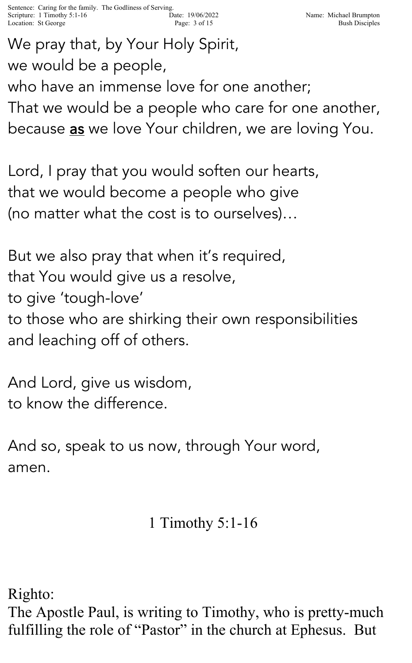We pray that, by Your Holy Spirit, we would be a people,

who have an immense love for one another; That we would be a people who care for one another, because <u>as</u> we love Your children, we are loving You.

Lord, I pray that you would soften our hearts, that we would become a people who give (no matter what the cost is to ourselves)…

But we also pray that when it's required, that You would give us a resolve, to give 'tough-love' to those who are shirking their own responsibilities and leaching off of others.

And Lord, give us wisdom, to know the difference.

And so, speak to us now, through Your word, amen.

## 1 Timothy 5:1-16

Righto:

The Apostle Paul, is writing to Timothy, who is pretty-much fulfilling the role of "Pastor" in the church at Ephesus. But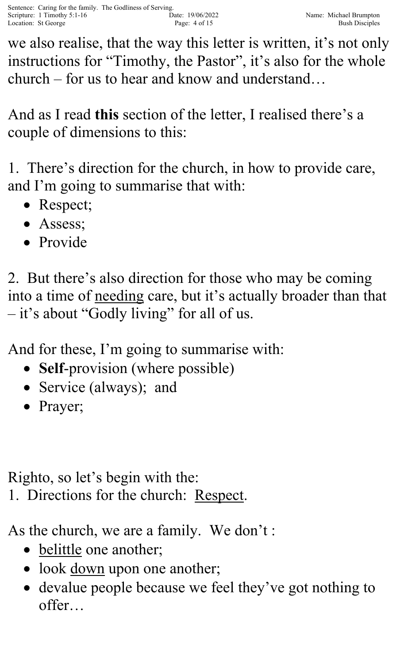we also realise, that the way this letter is written, it's not only instructions for "Timothy, the Pastor", it's also for the whole church – for us to hear and know and understand…

And as I read **this** section of the letter, I realised there's a couple of dimensions to this:

1. There's direction for the church, in how to provide care, and I'm going to summarise that with:

- Respect;
- Assess;
- Provide

2. But there's also direction for those who may be coming into a time of needing care, but it's actually broader than that – it's about "Godly living" for all of us.

And for these, I'm going to summarise with:

- **Self-provision** (where possible)
- Service (always); and
- Prayer;

Righto, so let's begin with the:

1. Directions for the church: Respect.

As the church, we are a family. We don't :

- belittle one another;
- look down upon one another;
- devalue people because we feel they've got nothing to offer…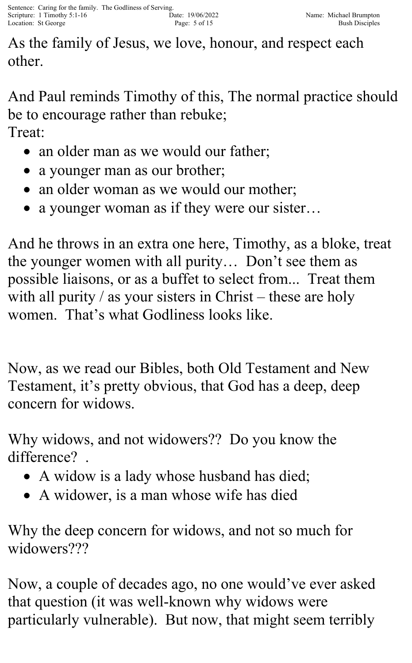As the family of Jesus, we love, honour, and respect each other.

And Paul reminds Timothy of this, The normal practice should be to encourage rather than rebuke; Treat:

- an older man as we would our father;
- a younger man as our brother;
- an older woman as we would our mother;
- a younger woman as if they were our sister...

And he throws in an extra one here, Timothy, as a bloke, treat the younger women with all purity… Don't see them as possible liaisons, or as a buffet to select from... Treat them with all purity  $\ell$  as your sisters in Christ – these are holy women. That's what Godliness looks like.

Now, as we read our Bibles, both Old Testament and New Testament, it's pretty obvious, that God has a deep, deep concern for widows.

Why widows, and not widowers?? Do you know the difference? .

- A widow is a lady whose husband has died;
- A widower, is a man whose wife has died

Why the deep concern for widows, and not so much for widowers???

Now, a couple of decades ago, no one would've ever asked that question (it was well-known why widows were particularly vulnerable). But now, that might seem terribly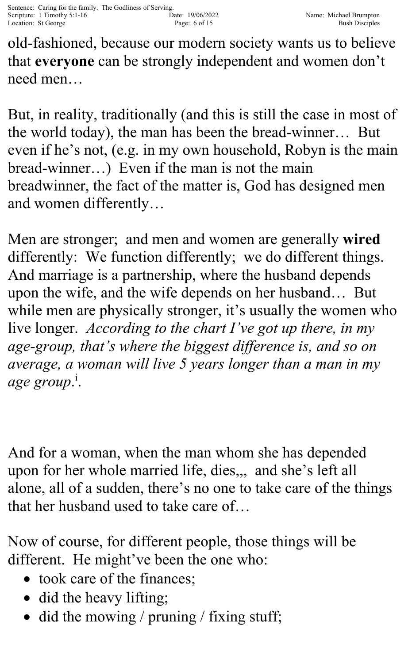old-fashioned, because our modern society wants us to believe that **everyone** can be strongly independent and women don't need men…

But, in reality, traditionally (and this is still the case in most of the world today), the man has been the bread-winner… But even if he's not, (e.g. in my own household, Robyn is the main bread-winner…) Even if the man is not the main breadwinner, the fact of the matter is, God has designed men and women differently…

Men are stronger; and men and women are generally **wired** differently: We function differently; we do different things. And marriage is a partnership, where the husband depends upon the wife, and the wife depends on her husband… But while men are physically stronger, it's usually the women who live longer. *According to the chart I've got up there, in my age-group, that's where the biggest difference is, and so on average, a woman will live 5 years longer than a man in my age group*. i .

And for a woman, when the man whom she has depended upon for her whole married life, dies,,, and she's left all alone, all of a sudden, there's no one to take care of the things that her husband used to take care of…

Now of course, for different people, those things will be different. He might've been the one who:

- took care of the finances;
- did the heavy lifting;
- did the mowing / pruning / fixing stuff;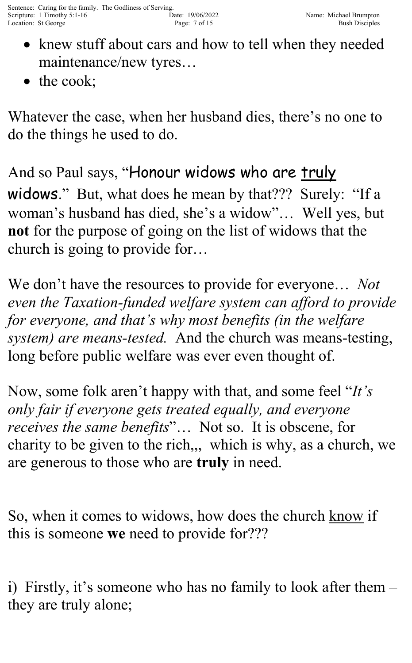- knew stuff about cars and how to tell when they needed maintenance/new tyres…
- the cook;

Whatever the case, when her husband dies, there's no one to do the things he used to do.

And so Paul says, "Honour widows who are <u>truly</u> widows." But, what does he mean by that??? Surely: "If a woman's husband has died, she's a widow"… Well yes, but **not** for the purpose of going on the list of widows that the church is going to provide for…

We don't have the resources to provide for everyone… *Not even the Taxation-funded welfare system can afford to provide for everyone, and that's why most benefits (in the welfare system) are means-tested.* And the church was means-testing, long before public welfare was ever even thought of.

Now, some folk aren't happy with that, and some feel "*It's only fair if everyone gets treated equally, and everyone receives the same benefits*"… Not so. It is obscene, for charity to be given to the rich,,, which is why, as a church, we are generous to those who are **truly** in need.

So, when it comes to widows, how does the church know if this is someone **we** need to provide for???

i) Firstly, it's someone who has no family to look after them – they are truly alone;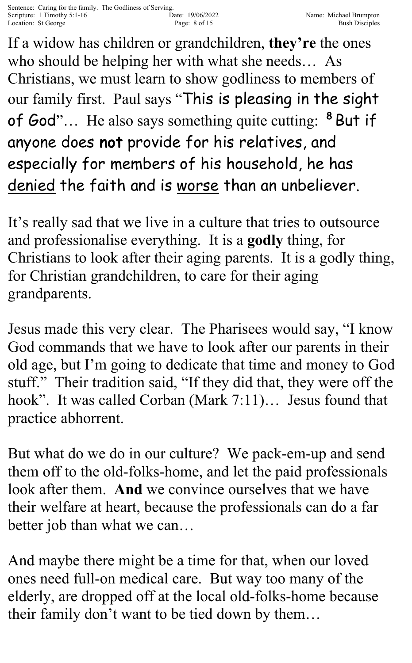If a widow has children or grandchildren, **they're** the ones who should be helping her with what she needs… As Christians, we must learn to show godliness to members of our family first. Paul says "This is pleasing in the sight of God"... He also says something quite cutting: <sup>8</sup> But if anyone does not provide for his relatives, and especially for members of his household, he has denied the faith and is worse than an unbeliever.

It's really sad that we live in a culture that tries to outsource and professionalise everything. It is a **godly** thing, for Christians to look after their aging parents. It is a godly thing, for Christian grandchildren, to care for their aging grandparents.

Jesus made this very clear. The Pharisees would say, "I know God commands that we have to look after our parents in their old age, but I'm going to dedicate that time and money to God stuff." Their tradition said, "If they did that, they were off the hook". It was called Corban (Mark 7:11)… Jesus found that practice abhorrent.

But what do we do in our culture? We pack-em-up and send them off to the old-folks-home, and let the paid professionals look after them. **And** we convince ourselves that we have their welfare at heart, because the professionals can do a far better job than what we can…

And maybe there might be a time for that, when our loved ones need full-on medical care. But way too many of the elderly, are dropped off at the local old-folks-home because their family don't want to be tied down by them…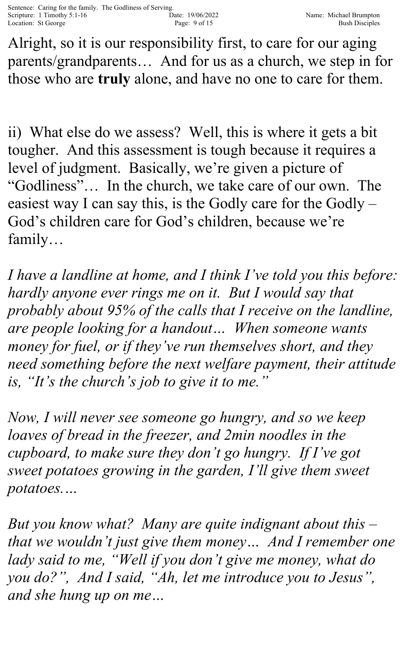Alright, so it is our responsibility first, to care for our aging parents/grandparents… And for us as a church, we step in for those who are **truly** alone, and have no one to care for them.

ii) What else do we assess? Well, this is where it gets a bit tougher. And this assessment is tough because it requires a level of judgment. Basically, we're given a picture of "Godliness"… In the church, we take care of our own. The easiest way I can say this, is the Godly care for the Godly – God's children care for God's children, because we're family…

*I have a landline at home, and I think I've told you this before: hardly anyone ever rings me on it. But I would say that probably about 95% of the calls that I receive on the landline, are people looking for a handout… When someone wants money for fuel, or if they've run themselves short, and they need something before the next welfare payment, their attitude is, "It's the church's job to give it to me."*

*Now, I will never see someone go hungry, and so we keep*  loaves of bread in the freezer, and 2min noodles in the *cupboard, to make sure they don't go hungry. If I've got sweet potatoes growing in the garden, I'll give them sweet potatoes.…* 

*But you know what? Many are quite indignant about this – that we wouldn't just give them money… And I remember one*  lady said to me, "Well if you don't give me money, what do *you do?", And I said, "Ah, let me introduce you to Jesus", and she hung up on me…*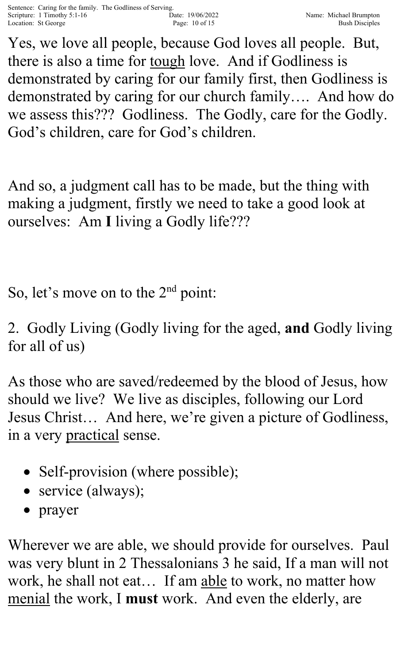Yes, we love all people, because God loves all people. But, there is also a time for tough love. And if Godliness is demonstrated by caring for our family first, then Godliness is demonstrated by caring for our church family…. And how do we assess this??? Godliness. The Godly, care for the Godly. God's children, care for God's children.

And so, a judgment call has to be made, but the thing with making a judgment, firstly we need to take a good look at ourselves: Am **I** living a Godly life???

So, let's move on to the 2<sup>nd</sup> point:

2. Godly Living (Godly living for the aged, **and** Godly living for all of us)

As those who are saved/redeemed by the blood of Jesus, how should we live? We live as disciples, following our Lord Jesus Christ… And here, we're given a picture of Godliness, in a very practical sense.

- Self-provision (where possible);
- service (always);
- prayer

Wherever we are able, we should provide for ourselves. Paul was very blunt in 2 Thessalonians 3 he said, If a man will not work, he shall not eat… If am able to work, no matter how menial the work, I **must** work. And even the elderly, are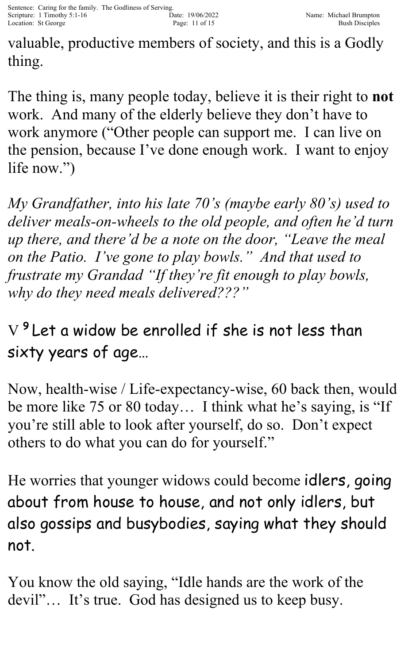valuable, productive members of society, and this is a Godly thing.

The thing is, many people today, believe it is their right to **not** work. And many of the elderly believe they don't have to work anymore ("Other people can support me. I can live on the pension, because I've done enough work. I want to enjoy life now.")

*My Grandfather, into his late 70's (maybe early 80's) used to deliver meals-on-wheels to the old people, and often he'd turn up there, and there'd be a note on the door, "Leave the meal on the Patio. I've gone to play bowls." And that used to frustrate my Grandad "If they're fit enough to play bowls, why do they need meals delivered???"*

 $\mathrm{V}\,{}^{\boldsymbol{9}}$ Let a widow be enrolled if she is not less than sixty years of age…

Now, health-wise / Life-expectancy-wise, 60 back then, would be more like 75 or 80 today… I think what he's saying, is "If you're still able to look after yourself, do so. Don't expect others to do what you can do for yourself."

He worries that younger widows could become idlers, going about from house to house, and not only idlers, but also gossips and busybodies, saying what they should not.

You know the old saying, "Idle hands are the work of the devil"… It's true. God has designed us to keep busy.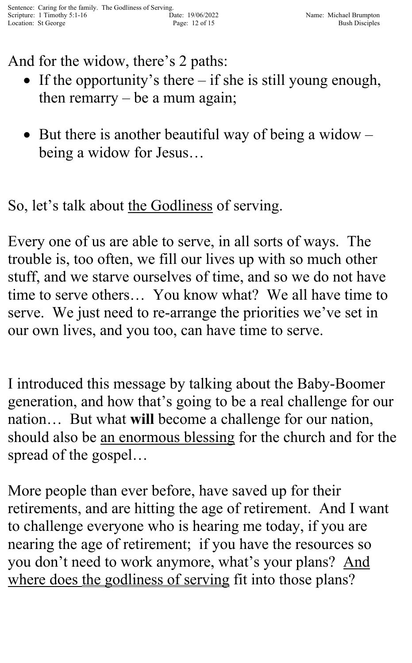And for the widow, there's 2 paths:

- If the opportunity's there if she is still young enough, then remarry  $-$  be a mum again;
- But there is another beautiful way of being a widow  $$ being a widow for Jesus…

So, let's talk about the Godliness of serving.

Every one of us are able to serve, in all sorts of ways. The trouble is, too often, we fill our lives up with so much other stuff, and we starve ourselves of time, and so we do not have time to serve others… You know what? We all have time to serve. We just need to re-arrange the priorities we've set in our own lives, and you too, can have time to serve.

I introduced this message by talking about the Baby-Boomer generation, and how that's going to be a real challenge for our nation… But what **will** become a challenge for our nation, should also be an enormous blessing for the church and for the spread of the gospel…

More people than ever before, have saved up for their retirements, and are hitting the age of retirement. And I want to challenge everyone who is hearing me today, if you are nearing the age of retirement; if you have the resources so you don't need to work anymore, what's your plans? And where does the godliness of serving fit into those plans?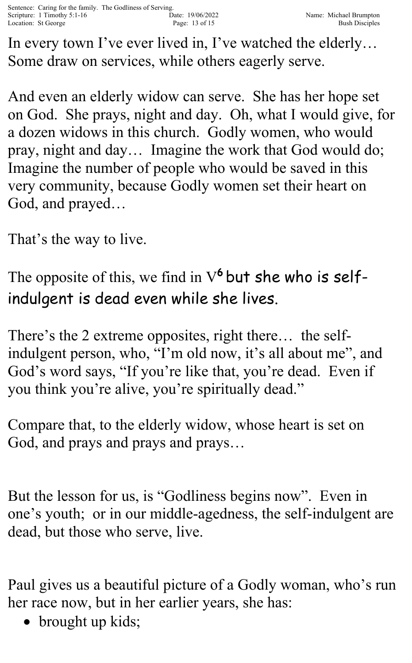In every town I've ever lived in, I've watched the elderly… Some draw on services, while others eagerly serve.

And even an elderly widow can serve. She has her hope set on God. She prays, night and day. Oh, what I would give, for a dozen widows in this church. Godly women, who would pray, night and day… Imagine the work that God would do; Imagine the number of people who would be saved in this very community, because Godly women set their heart on God, and prayed…

That's the way to live.

The opposite of this, we find in  $V^6$  but she who is selfindulgent is dead even while she lives.

There's the 2 extreme opposites, right there… the selfindulgent person, who, "I'm old now, it's all about me", and God's word says, "If you're like that, you're dead. Even if you think you're alive, you're spiritually dead."

Compare that, to the elderly widow, whose heart is set on God, and prays and prays and prays…

But the lesson for us, is "Godliness begins now". Even in one's youth; or in our middle-agedness, the self-indulgent are dead, but those who serve, live.

Paul gives us a beautiful picture of a Godly woman, who's run her race now, but in her earlier years, she has:

• brought up kids;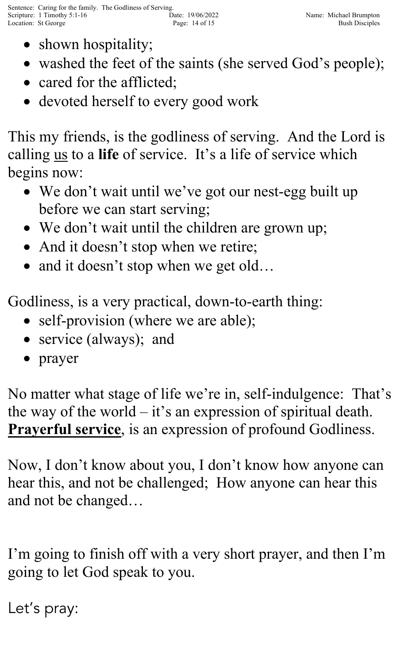- shown hospitality;
- washed the feet of the saints (she served God's people);
- cared for the afflicted;
- devoted herself to every good work

This my friends, is the godliness of serving. And the Lord is calling us to a **life** of service. It's a life of service which begins now:

- We don't wait until we've got our nest-egg built up before we can start serving;
- We don't wait until the children are grown up;
- And it doesn't stop when we retire;
- and it doesn't stop when we get old...

Godliness, is a very practical, down-to-earth thing:

- self-provision (where we are able);
- service (always); and
- prayer

No matter what stage of life we're in, self-indulgence: That's the way of the world – it's an expression of spiritual death. **Prayerful service**, is an expression of profound Godliness.

Now, I don't know about you, I don't know how anyone can hear this, and not be challenged; How anyone can hear this and not be changed…

I'm going to finish off with a very short prayer, and then I'm going to let God speak to you.

Let's pray: